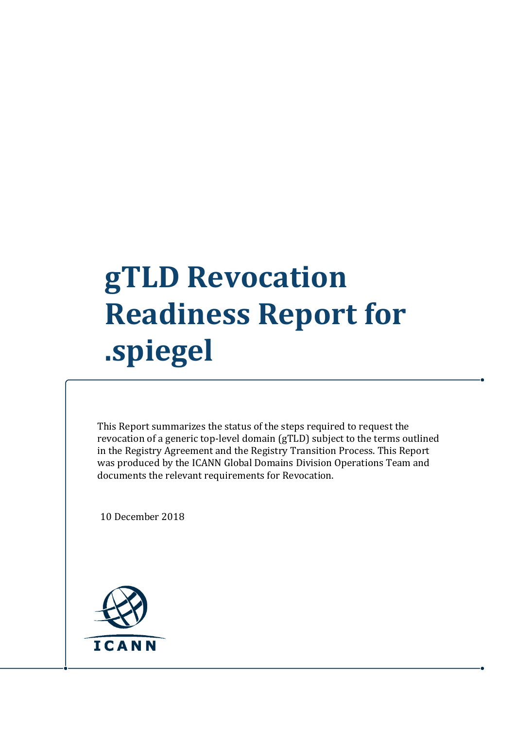## **gTLD Revocation Readiness Report for .spiegel**

This Report summarizes the status of the steps required to request the revocation of a generic top-level domain (gTLD) subject to the terms outlined in the Registry Agreement and the Registry Transition Process. This Report was produced by the ICANN Global Domains Division Operations Team and documents the relevant requirements for Revocation.

10 December 2018

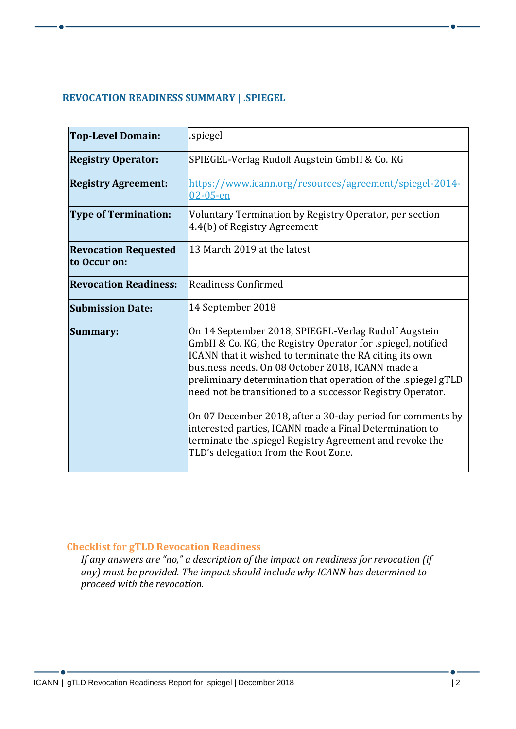## **REVOCATION READINESS SUMMARY | .SPIEGEL**

| <b>Top-Level Domain:</b>                    | spiegel.                                                                                                                                                                                                                                                                                                                                                                                                                                                                                                                                                                                      |
|---------------------------------------------|-----------------------------------------------------------------------------------------------------------------------------------------------------------------------------------------------------------------------------------------------------------------------------------------------------------------------------------------------------------------------------------------------------------------------------------------------------------------------------------------------------------------------------------------------------------------------------------------------|
| <b>Registry Operator:</b>                   | SPIEGEL-Verlag Rudolf Augstein GmbH & Co. KG                                                                                                                                                                                                                                                                                                                                                                                                                                                                                                                                                  |
| <b>Registry Agreement:</b>                  | https://www.icann.org/resources/agreement/spiegel-2014-<br>$02 - 05 - en$                                                                                                                                                                                                                                                                                                                                                                                                                                                                                                                     |
| <b>Type of Termination:</b>                 | Voluntary Termination by Registry Operator, per section<br>4.4(b) of Registry Agreement                                                                                                                                                                                                                                                                                                                                                                                                                                                                                                       |
| <b>Revocation Requested</b><br>to Occur on: | 13 March 2019 at the latest                                                                                                                                                                                                                                                                                                                                                                                                                                                                                                                                                                   |
| <b>Revocation Readiness:</b>                | Readiness Confirmed                                                                                                                                                                                                                                                                                                                                                                                                                                                                                                                                                                           |
| <b>Submission Date:</b>                     | 14 September 2018                                                                                                                                                                                                                                                                                                                                                                                                                                                                                                                                                                             |
| Summary:                                    | On 14 September 2018, SPIEGEL-Verlag Rudolf Augstein<br>GmbH & Co. KG, the Registry Operator for .spiegel, notified<br>ICANN that it wished to terminate the RA citing its own<br>business needs. On 08 October 2018, ICANN made a<br>preliminary determination that operation of the .spiegel gTLD<br>need not be transitioned to a successor Registry Operator.<br>On 07 December 2018, after a 30-day period for comments by<br>interested parties, ICANN made a Final Determination to<br>terminate the spiegel Registry Agreement and revoke the<br>TLD's delegation from the Root Zone. |

## **Checklist for gTLD Revocation Readiness**

*If any answers are "no," a description of the impact on readiness for revocation (if any) must be provided. The impact should include why ICANN has determined to proceed with the revocation.*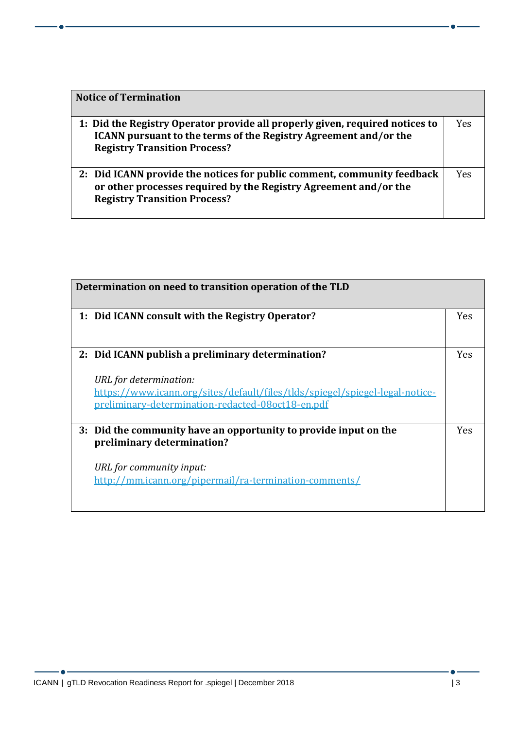| <b>Notice of Termination</b>                                                                                                                                                                   |            |
|------------------------------------------------------------------------------------------------------------------------------------------------------------------------------------------------|------------|
| 1: Did the Registry Operator provide all properly given, required notices to<br><b>ICANN</b> pursuant to the terms of the Registry Agreement and/or the<br><b>Registry Transition Process?</b> | <b>Yes</b> |
| 2: Did ICANN provide the notices for public comment, community feedback<br>or other processes required by the Registry Agreement and/or the<br><b>Registry Transition Process?</b>             | Yes        |

| Determination on need to transition operation of the TLD                                                                                                                                                         |            |
|------------------------------------------------------------------------------------------------------------------------------------------------------------------------------------------------------------------|------------|
| 1: Did ICANN consult with the Registry Operator?                                                                                                                                                                 | <b>Yes</b> |
| 2: Did ICANN publish a preliminary determination?<br>URL for determination:<br>https://www.icann.org/sites/default/files/tlds/spiegel/spiegel-legal-notice-<br>preliminary-determination-redacted-08oct18-en.pdf | <b>Yes</b> |
| 3: Did the community have an opportunity to provide input on the<br>preliminary determination?<br>URL for community input:<br>http://mm.icann.org/pipermail/ra-termination-comments/                             | <b>Yes</b> |

 $-$  0  $-$